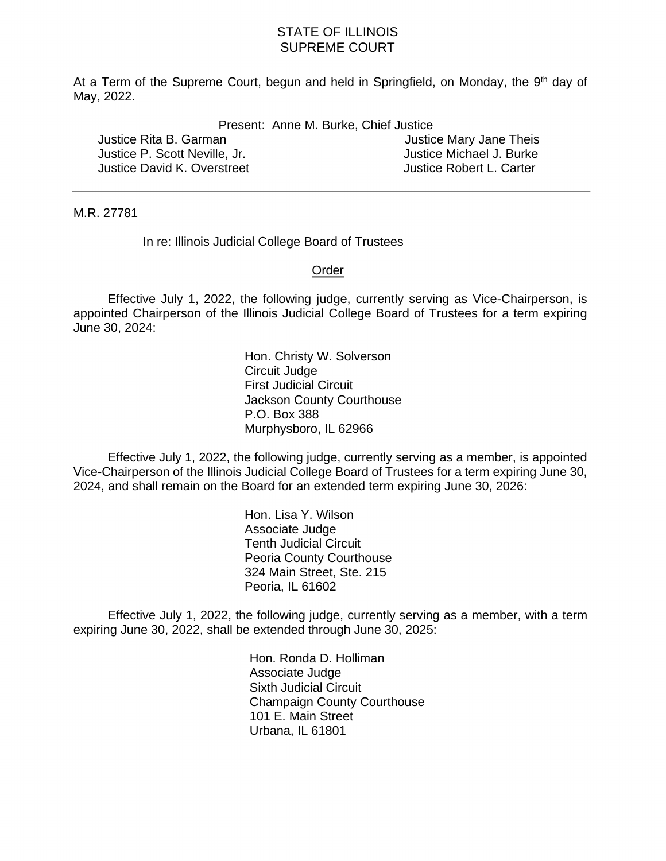## STATE OF ILLINOIS SUPREME COURT

At a Term of the Supreme Court, begun and held in Springfield, on Monday, the 9<sup>th</sup> day of May, 2022. May, 2022. Present: Anne M. Burke, Chief Justice

| Present: Anne M. Burke, Chief Justice |  |  |  |  |
|---------------------------------------|--|--|--|--|
|---------------------------------------|--|--|--|--|

Justice Rita B. Garman Justice P. Scott Neville, Jr. Justice Michael J. Burke Justice David K. Overstreet **Justice Robert L. Carter** 

Justice Mary Jane Theis

M.R. 27781

In re: Illinois Judicial College Board of Trustees

## Order

 Effective July 1, 2022, the following judge, currently serving as Vice-Chairperson, is appointed Chairperson of the Illinois Judicial College Board of Trustees for a term expiring June 30, 2024:

> First Judicial Circuit Murphysboro, IL 62966 Hon. Christy W. Solverson Circuit Judge Jackson County Courthouse P.O. Box 388

 Effective July 1, 2022, the following judge, currently serving as a member, is appointed Vice-Chairperson of the Illinois Judicial College Board of Trustees for a term expiring June 30, 2024, and shall remain on the Board for an extended term expiring June 30, 2026:

> 324 Main Street, Ste. 215 Peoria, IL 61602 Hon. Lisa Y. Wilson Associate Judge Tenth Judicial Circuit Peoria County Courthouse

 Effective July 1, 2022, the following judge, currently serving as a member, with a term expiring June 30, 2022, shall be extended through June 30, 2025:

> Sixth Judicial Circuit 101 E. Main Street Urbana, IL 61801 Hon. Ronda D. Holliman Associate Judge Champaign County Courthouse